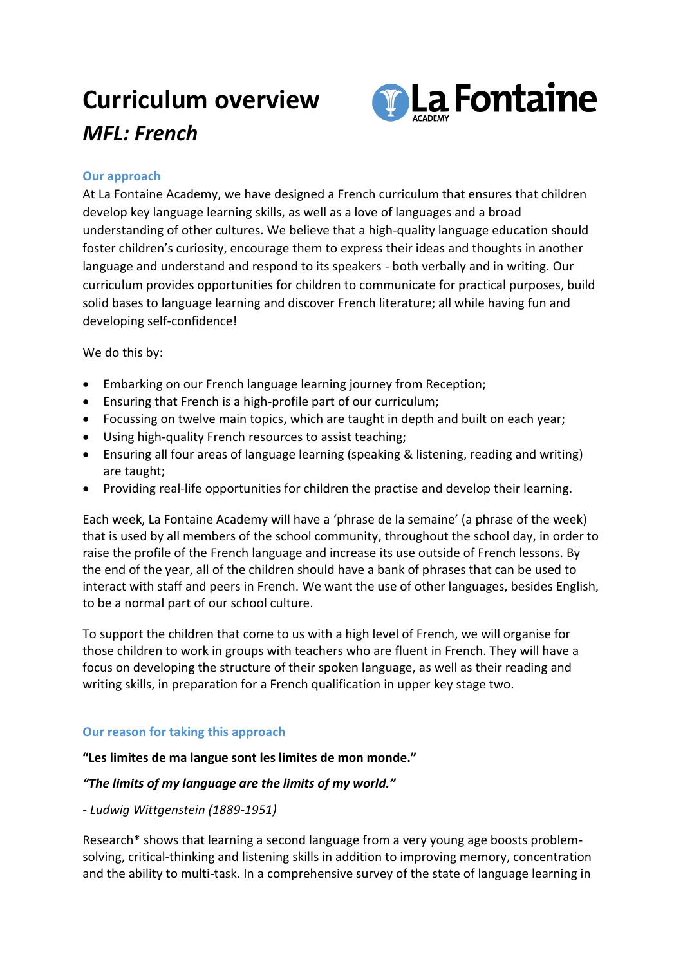# **Curriculum overview** *MFL: French*



## **Our approach**

At La Fontaine Academy, we have designed a French curriculum that ensures that children develop key language learning skills, as well as a love of languages and a broad understanding of other cultures. We believe that a high-quality language education should foster children's curiosity, encourage them to express their ideas and thoughts in another language and understand and respond to its speakers - both verbally and in writing. Our curriculum provides opportunities for children to communicate for practical purposes, build solid bases to language learning and discover French literature; all while having fun and developing self-confidence!

We do this by:

- Embarking on our French language learning journey from Reception;
- Ensuring that French is a high-profile part of our curriculum;
- Focussing on twelve main topics, which are taught in depth and built on each year;
- Using high-quality French resources to assist teaching;
- Ensuring all four areas of language learning (speaking & listening, reading and writing) are taught;
- Providing real-life opportunities for children the practise and develop their learning.

Each week, La Fontaine Academy will have a 'phrase de la semaine' (a phrase of the week) that is used by all members of the school community, throughout the school day, in order to raise the profile of the French language and increase its use outside of French lessons. By the end of the year, all of the children should have a bank of phrases that can be used to interact with staff and peers in French. We want the use of other languages, besides English, to be a normal part of our school culture.

To support the children that come to us with a high level of French, we will organise for those children to work in groups with teachers who are fluent in French. They will have a focus on developing the structure of their spoken language, as well as their reading and writing skills, in preparation for a French qualification in upper key stage two.

## **Our reason for taking this approach**

#### **"Les limites de ma langue sont les limites de mon monde."**

#### *"The limits of my language are the limits of my world."*

*- Ludwig Wittgenstein (1889-1951)*

Research\* shows that learning a second language from a very young age boosts problemsolving, critical-thinking and listening skills in addition to improving memory, concentration and the ability to multi-task. In a comprehensive survey of the state of language learning in